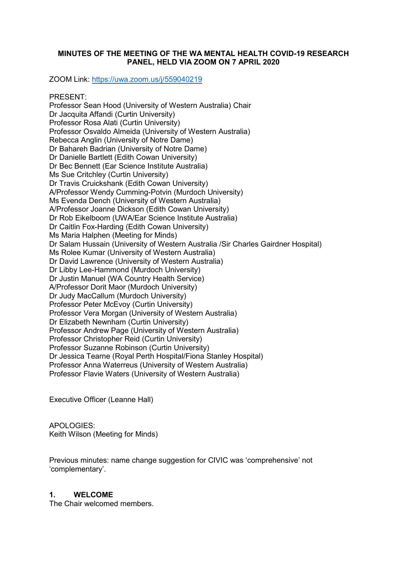#### **MINUTES OF THE MEETING OF THE WA MENTAL HEALTH COVID-19 RESEARCH PANEL, HELD VIA ZOOM ON 7 APRIL 2020**

ZOOM Link:<https://uwa.zoom.us/j/559040219>

PRESENT:

Professor Sean Hood (University of Western Australia) Chair Dr Jacquita Affandi (Curtin University) Professor Rosa Alati (Curtin University) Professor Osvaldo Almeida (University of Western Australia) Rebecca Anglin (University of Notre Dame) Dr Bahareh Badrian (University of Notre Dame) Dr Danielle Bartlett (Edith Cowan University) Dr Bec Bennett (Ear Science Institute Australia) Ms Sue Critchley (Curtin University) Dr Travis Cruickshank (Edith Cowan University) A/Professor Wendy Cumming-Potvin (Murdoch University) Ms Evenda Dench (University of Western Australia) A/Professor Joanne Dickson (Edith Cowan University) Dr Rob Eikelboom (UWA/Ear Science Institute Australia) Dr Caitlin Fox-Harding (Edith Cowan University) Ms Maria Halphen (Meeting for Minds) Dr Salam Hussain (University of Western Australia /Sir Charles Gairdner Hospital) Ms Rolee Kumar (University of Western Australia) Dr David Lawrence (University of Western Australia) Dr Libby Lee-Hammond (Murdoch University) Dr Justin Manuel (WA Country Health Service) A/Professor Dorit Maor (Murdoch University) Dr Judy MacCallum (Murdoch University) Professor Peter McEvoy (Curtin University) Professor Vera Morgan (University of Western Australia) Dr Elizabeth Newnham (Curtin University) Professor Andrew Page (University of Western Australia) Professor Christopher Reid (Curtin University) Professor Suzanne Robinson (Curtin University) Dr Jessica Tearne (Royal Perth Hospital/Fiona Stanley Hospital) Professor Anna Waterreus (University of Western Australia) Professor Flavie Waters (University of Western Australia)

Executive Officer (Leanne Hall)

APOLOGIES: Keith Wilson (Meeting for Minds)

Previous minutes: name change suggestion for CIVIC was 'comprehensive' not 'complementary'.

### **1. WELCOME**

The Chair welcomed members.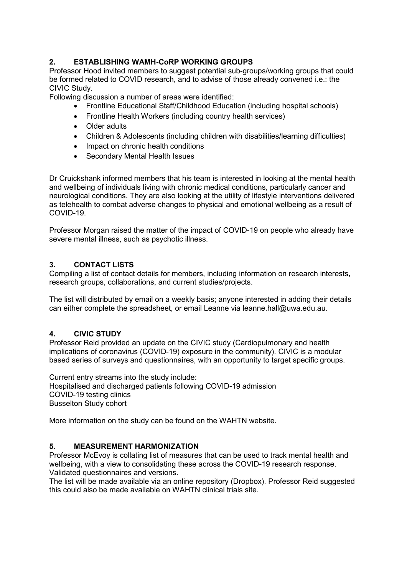# **2. ESTABLISHING WAMH-CoRP WORKING GROUPS**

Professor Hood invited members to suggest potential sub-groups/working groups that could be formed related to COVID research, and to advise of those already convened i.e.: the CIVIC Study.

Following discussion a number of areas were identified:

- Frontline Educational Staff/Childhood Education (including hospital schools)
- Frontline Health Workers (including country health services)
- Older adults
- Children & Adolescents (including children with disabilities/learning difficulties)
- Impact on chronic health conditions
- Secondary Mental Health Issues

Dr Cruickshank informed members that his team is interested in looking at the mental health and wellbeing of individuals living with chronic medical conditions, particularly cancer and neurological conditions. They are also looking at the utility of lifestyle interventions delivered as telehealth to combat adverse changes to physical and emotional wellbeing as a result of COVID-19.

Professor Morgan raised the matter of the impact of COVID-19 on people who already have severe mental illness, such as psychotic illness.

# **3. CONTACT LISTS**

Compiling a list of contact details for members, including information on research interests, research groups, collaborations, and current studies/projects.

The list will distributed by email on a weekly basis; anyone interested in adding their details can either complete the spreadsheet, or email Leanne via leanne.hall@uwa.edu.au.

## **4. CIVIC STUDY**

Professor Reid provided an update on the CIVIC study (Cardiopulmonary and health implications of coronavirus (COVID-19) exposure in the community). CIVIC is a modular based series of surveys and questionnaires, with an opportunity to target specific groups.

Current entry streams into the study include: Hospitalised and discharged patients following COVID-19 admission COVID-19 testing clinics Busselton Study cohort

More information on the study can be found on the WAHTN website.

## **5. MEASUREMENT HARMONIZATION**

Professor McEvoy is collating list of measures that can be used to track mental health and wellbeing, with a view to consolidating these across the COVID-19 research response. Validated questionnaires and versions.

The list will be made available via an online repository (Dropbox). Professor Reid suggested this could also be made available on WAHTN clinical trials site.